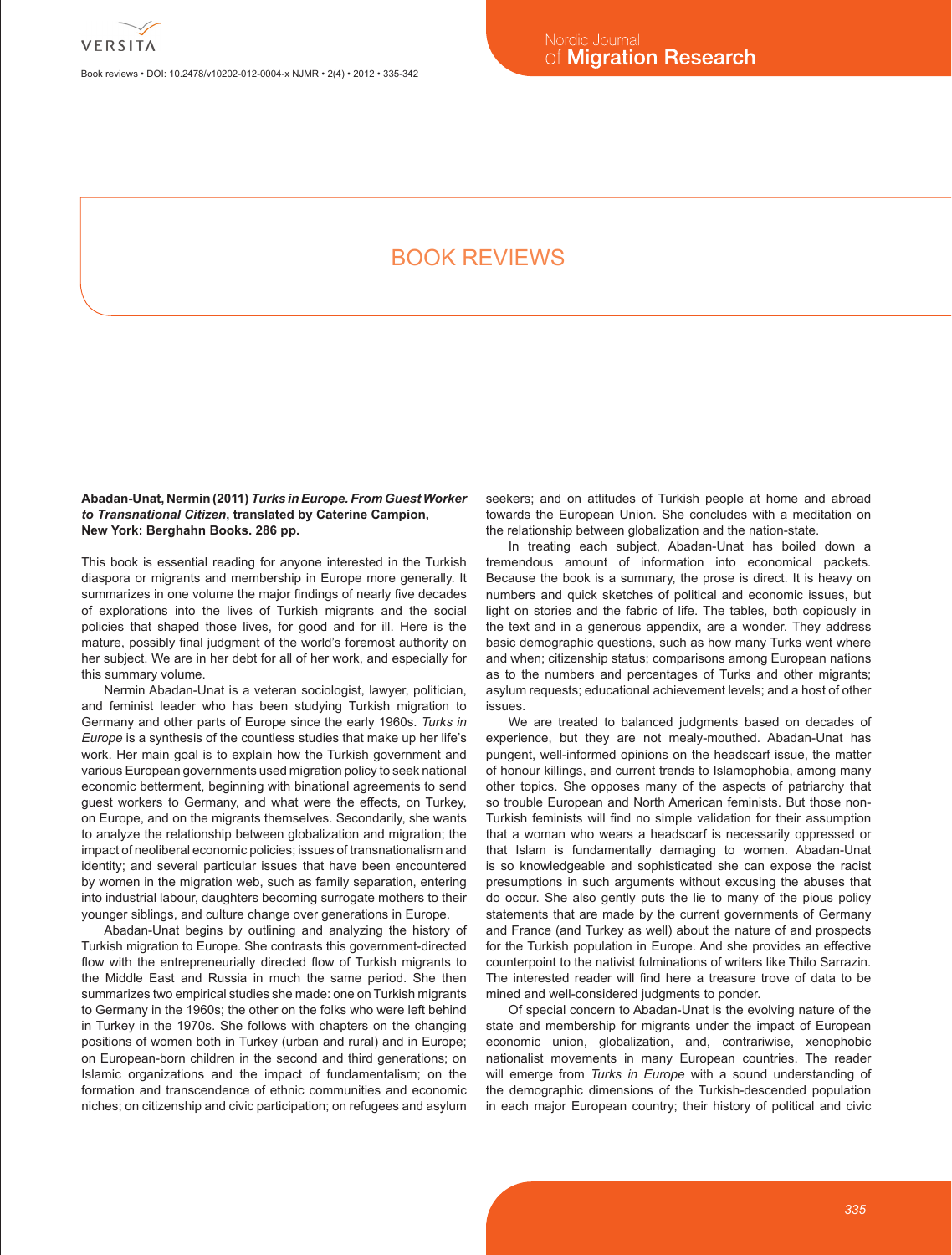

Book reviews • DOI: 10.2478/v10202-012-0004-x NJMR • 2(4) • 2012 • 335-342

# Book reviews

**Abadan-Unat, Nermin (2011)** *Turks in Europe. From Guest Worker to Transnational Citizen***, translated by Caterine Campion, New York: Berghahn Books. 286 pp.**

This book is essential reading for anyone interested in the Turkish diaspora or migrants and membership in Europe more generally. It summarizes in one volume the major findings of nearly five decades of explorations into the lives of Turkish migrants and the social policies that shaped those lives, for good and for ill. Here is the mature, possibly final judgment of the world's foremost authority on her subject. We are in her debt for all of her work, and especially for this summary volume.

Nermin Abadan-Unat is a veteran sociologist, lawyer, politician, and feminist leader who has been studying Turkish migration to Germany and other parts of Europe since the early 1960s. *Turks in Europe* is a synthesis of the countless studies that make up her life's work. Her main goal is to explain how the Turkish government and various European governments used migration policy to seek national economic betterment, beginning with binational agreements to send guest workers to Germany, and what were the effects, on Turkey, on Europe, and on the migrants themselves. Secondarily, she wants to analyze the relationship between globalization and migration; the impact of neoliberal economic policies; issues of transnationalism and identity; and several particular issues that have been encountered by women in the migration web, such as family separation, entering into industrial labour, daughters becoming surrogate mothers to their younger siblings, and culture change over generations in Europe.

Abadan-Unat begins by outlining and analyzing the history of Turkish migration to Europe. She contrasts this government-directed flow with the entrepreneurially directed flow of Turkish migrants to the Middle East and Russia in much the same period. She then summarizes two empirical studies she made: one on Turkish migrants to Germany in the 1960s; the other on the folks who were left behind in Turkey in the 1970s. She follows with chapters on the changing positions of women both in Turkey (urban and rural) and in Europe; on European-born children in the second and third generations; on Islamic organizations and the impact of fundamentalism; on the formation and transcendence of ethnic communities and economic niches; on citizenship and civic participation; on refugees and asylum seekers; and on attitudes of Turkish people at home and abroad towards the European Union. She concludes with a meditation on the relationship between globalization and the nation-state.

In treating each subject, Abadan-Unat has boiled down a tremendous amount of information into economical packets. Because the book is a summary, the prose is direct. It is heavy on numbers and quick sketches of political and economic issues, but light on stories and the fabric of life. The tables, both copiously in the text and in a generous appendix, are a wonder. They address basic demographic questions, such as how many Turks went where and when; citizenship status; comparisons among European nations as to the numbers and percentages of Turks and other migrants; asylum requests; educational achievement levels; and a host of other issues.

We are treated to balanced judgments based on decades of experience, but they are not mealy-mouthed. Abadan-Unat has pungent, well-informed opinions on the headscarf issue, the matter of honour killings, and current trends to Islamophobia, among many other topics. She opposes many of the aspects of patriarchy that so trouble European and North American feminists. But those non-Turkish feminists will find no simple validation for their assumption that a woman who wears a headscarf is necessarily oppressed or that Islam is fundamentally damaging to women. Abadan-Unat is so knowledgeable and sophisticated she can expose the racist presumptions in such arguments without excusing the abuses that do occur. She also gently puts the lie to many of the pious policy statements that are made by the current governments of Germany and France (and Turkey as well) about the nature of and prospects for the Turkish population in Europe. And she provides an effective counterpoint to the nativist fulminations of writers like Thilo Sarrazin. The interested reader will find here a treasure trove of data to be mined and well-considered judgments to ponder.

Of special concern to Abadan-Unat is the evolving nature of the state and membership for migrants under the impact of European economic union, globalization, and, contrariwise, xenophobic nationalist movements in many European countries. The reader will emerge from *Turks in Europe* with a sound understanding of the demographic dimensions of the Turkish-descended population in each major European country; their history of political and civic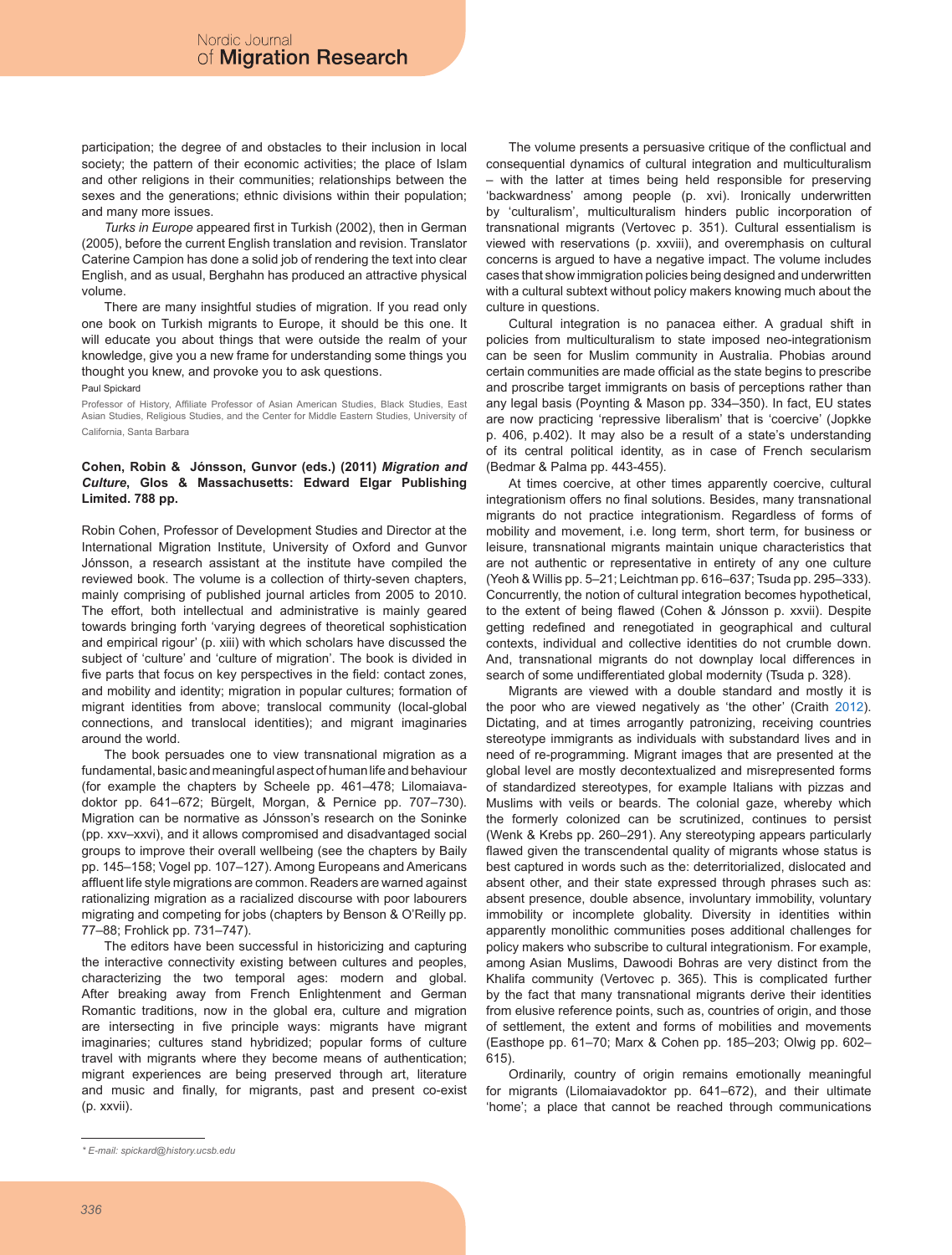participation; the degree of and obstacles to their inclusion in local society; the pattern of their economic activities; the place of Islam and other religions in their communities; relationships between the sexes and the generations; ethnic divisions within their population; and many more issues.

*Turks in Europe* appeared first in Turkish (2002), then in German (2005), before the current English translation and revision. Translator Caterine Campion has done a solid job of rendering the text into clear English, and as usual, Berghahn has produced an attractive physical volume.

There are many insightful studies of migration. If you read only one book on Turkish migrants to Europe, it should be this one. It will educate you about things that were outside the realm of your knowledge, give you a new frame for understanding some things you thought you knew, and provoke you to ask questions.

Paul Spickard

Professor of History, Affiliate Professor of Asian American Studies, Black Studies, East Asian Studies, Religious Studies, and the Center for Middle Eastern Studies, University of California, Santa Barbara

# **Cohen, Robin & Jónsson, Gunvor (eds.) (2011)** *Migration and Culture***, Glos & Massachusetts: Edward Elgar Publishing Limited. 788 pp.**

Robin Cohen, Professor of Development Studies and Director at the International Migration Institute, University of Oxford and Gunvor Jónsson, a research assistant at the institute have compiled the reviewed book. The volume is a collection of thirty-seven chapters, mainly comprising of published journal articles from 2005 to 2010. The effort, both intellectual and administrative is mainly geared towards bringing forth 'varying degrees of theoretical sophistication and empirical rigour' (p. xiii) with which scholars have discussed the subject of 'culture' and 'culture of migration'. The book is divided in five parts that focus on key perspectives in the field: contact zones, and mobility and identity; migration in popular cultures; formation of migrant identities from above; translocal community (local-global connections, and translocal identities); and migrant imaginaries around the world.

The book persuades one to view transnational migration as a fundamental, basic and meaningful aspect of human life and behaviour (for example the chapters by Scheele pp. 461–478; Lilomaiavadoktor pp. 641–672; Bürgelt, Morgan, & Pernice pp. 707–730). Migration can be normative as Jónsson's research on the Soninke (pp. xxv–xxvi), and it allows compromised and disadvantaged social groups to improve their overall wellbeing (see the chapters by Baily pp. 145–158; Vogel pp. 107–127). Among Europeans and Americans affluent life style migrations are common. Readers are warned against rationalizing migration as a racialized discourse with poor labourers migrating and competing for jobs (chapters by Benson & O'Reilly pp. 77–88; Frohlick pp. 731–747).

The editors have been successful in historicizing and capturing the interactive connectivity existing between cultures and peoples, characterizing the two temporal ages: modern and global. After breaking away from French Enlightenment and German Romantic traditions, now in the global era, culture and migration are intersecting in five principle ways: migrants have migrant imaginaries; cultures stand hybridized; popular forms of culture travel with migrants where they become means of authentication; migrant experiences are being preserved through art, literature and music and finally, for migrants, past and present co-exist (p. xxvii).

The volume presents a persuasive critique of the conflictual and consequential dynamics of cultural integration and multiculturalism – with the latter at times being held responsible for preserving 'backwardness' among people (p. xvi). Ironically underwritten by 'culturalism', multiculturalism hinders public incorporation of transnational migrants (Vertovec p. 351). Cultural essentialism is viewed with reservations (p. xxviii), and overemphasis on cultural concerns is argued to have a negative impact. The volume includes cases that show immigration policies being designed and underwritten with a cultural subtext without policy makers knowing much about the culture in questions.

Cultural integration is no panacea either. A gradual shift in policies from multiculturalism to state imposed neo-integrationism can be seen for Muslim community in Australia. Phobias around certain communities are made official as the state begins to prescribe and proscribe target immigrants on basis of perceptions rather than any legal basis (Poynting & Mason pp. 334–350). In fact, EU states are now practicing 'repressive liberalism' that is 'coercive' (Jopkke p. 406, p.402). It may also be a result of a state's understanding of its central political identity, as in case of French secularism (Bedmar & Palma pp. 443-455).

At times coercive, at other times apparently coercive, cultural integrationism offers no final solutions. Besides, many transnational migrants do not practice integrationism. Regardless of forms of mobility and movement, i.e. long term, short term, for business or leisure, transnational migrants maintain unique characteristics that are not authentic or representative in entirety of any one culture (Yeoh & Willis pp. 5–21; Leichtman pp. 616–637; Tsuda pp. 295–333). Concurrently, the notion of cultural integration becomes hypothetical, to the extent of being flawed (Cohen & Jónsson p. xxvii). Despite getting redefined and renegotiated in geographical and cultural contexts, individual and collective identities do not crumble down. And, transnational migrants do not downplay local differences in search of some undifferentiated global modernity (Tsuda p. 328).

Migrants are viewed with a double standard and mostly it is the poor who are viewed negatively as 'the other' (Craith 2012). Dictating, and at times arrogantly patronizing, receiving countries stereotype immigrants as individuals with substandard lives and in need of re-programming. Migrant images that are presented at the global level are mostly decontextualized and misrepresented forms of standardized stereotypes, for example Italians with pizzas and Muslims with veils or beards. The colonial gaze, whereby which the formerly colonized can be scrutinized, continues to persist (Wenk & Krebs pp. 260–291). Any stereotyping appears particularly flawed given the transcendental quality of migrants whose status is best captured in words such as the: deterritorialized, dislocated and absent other, and their state expressed through phrases such as: absent presence, double absence, involuntary immobility, voluntary immobility or incomplete globality. Diversity in identities within apparently monolithic communities poses additional challenges for policy makers who subscribe to cultural integrationism. For example, among Asian Muslims, Dawoodi Bohras are very distinct from the Khalifa community (Vertovec p. 365). This is complicated further by the fact that many transnational migrants derive their identities from elusive reference points, such as, countries of origin, and those of settlement, the extent and forms of mobilities and movements (Easthope pp. 61–70; Marx & Cohen pp. 185–203; Olwig pp. 602– 615).

Ordinarily, country of origin remains emotionally meaningful for migrants (Lilomaiavadoktor pp. 641–672), and their ultimate 'home'; a place that cannot be reached through communications

*<sup>\*</sup> E-mail: spickard@history.ucsb.edu*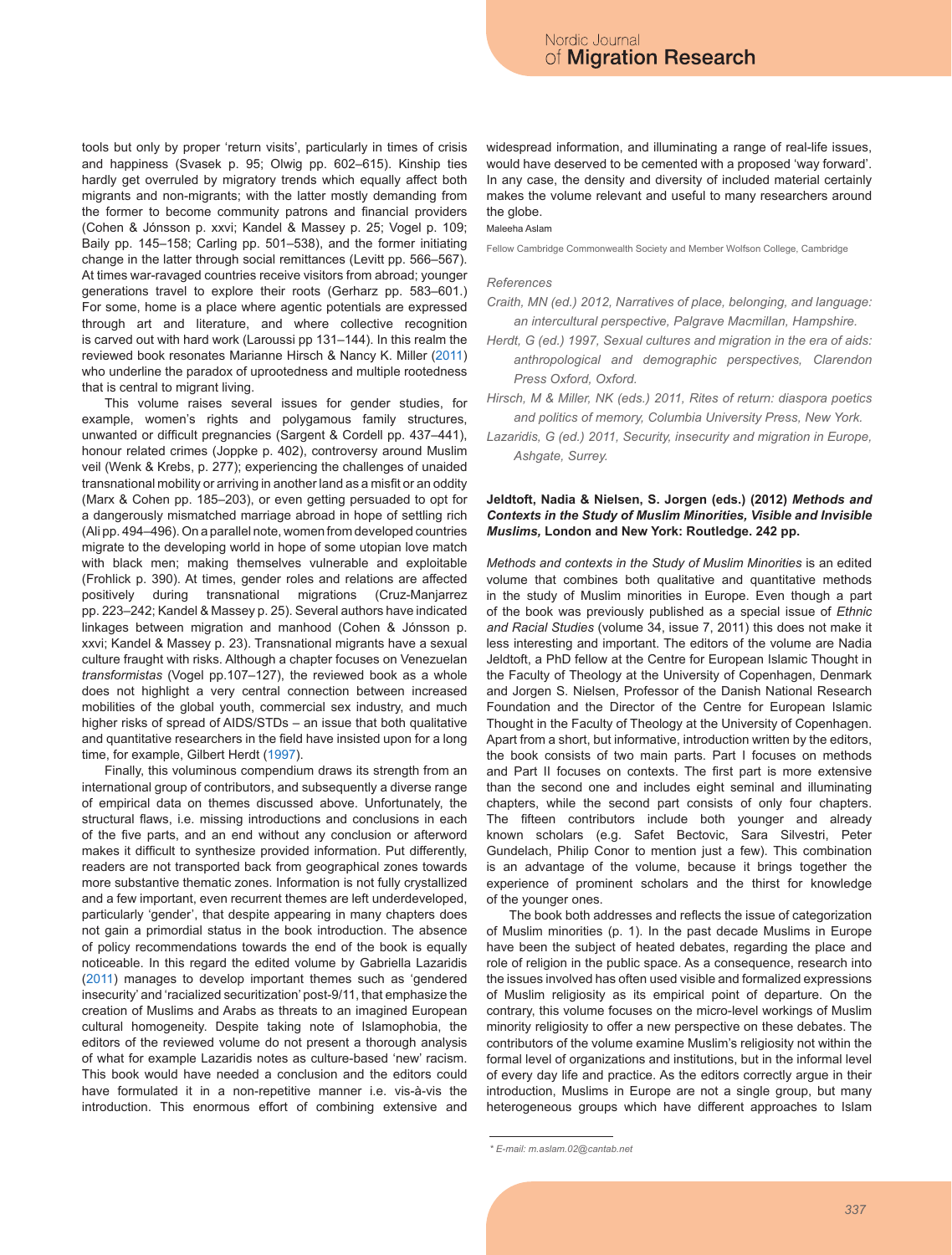tools but only by proper 'return visits', particularly in times of crisis and happiness (Svasek p. 95; Olwig pp. 602–615). Kinship ties hardly get overruled by migratory trends which equally affect both migrants and non-migrants; with the latter mostly demanding from the former to become community patrons and financial providers (Cohen & Jónsson p. xxvi; Kandel & Massey p. 25; Vogel p. 109; Baily pp. 145–158; Carling pp. 501–538), and the former initiating change in the latter through social remittances (Levitt pp. 566–567). At times war-ravaged countries receive visitors from abroad; younger generations travel to explore their roots (Gerharz pp. 583–601.) For some, home is a place where agentic potentials are expressed through art and literature, and where collective recognition is carved out with hard work (Laroussi pp 131–144). In this realm the reviewed book resonates Marianne Hirsch & Nancy K. Miller (2011) who underline the paradox of uprootedness and multiple rootedness that is central to migrant living.

This volume raises several issues for gender studies, for example, women's rights and polygamous family structures, unwanted or difficult pregnancies (Sargent & Cordell pp. 437–441), honour related crimes (Joppke p. 402), controversy around Muslim veil (Wenk & Krebs, p. 277); experiencing the challenges of unaided transnational mobility or arriving in another land as a misfit or an oddity (Marx & Cohen pp. 185–203), or even getting persuaded to opt for a dangerously mismatched marriage abroad in hope of settling rich (Ali pp. 494–496). On a parallel note, women from developed countries migrate to the developing world in hope of some utopian love match with black men; making themselves vulnerable and exploitable (Frohlick p. 390). At times, gender roles and relations are affected positively during transnational migrations (Cruz-Manjarrez pp. 223–242; Kandel & Massey p. 25). Several authors have indicated linkages between migration and manhood (Cohen & Jónsson p. xxvi; Kandel & Massey p. 23). Transnational migrants have a sexual culture fraught with risks. Although a chapter focuses on Venezuelan *transformistas* (Vogel pp.107–127), the reviewed book as a whole does not highlight a very central connection between increased mobilities of the global youth, commercial sex industry, and much higher risks of spread of AIDS/STDs – an issue that both qualitative and quantitative researchers in the field have insisted upon for a long time, for example, Gilbert Herdt (1997).

Finally, this voluminous compendium draws its strength from an international group of contributors, and subsequently a diverse range of empirical data on themes discussed above. Unfortunately, the structural flaws, i.e. missing introductions and conclusions in each of the five parts, and an end without any conclusion or afterword makes it difficult to synthesize provided information. Put differently, readers are not transported back from geographical zones towards more substantive thematic zones. Information is not fully crystallized and a few important, even recurrent themes are left underdeveloped, particularly 'gender', that despite appearing in many chapters does not gain a primordial status in the book introduction. The absence of policy recommendations towards the end of the book is equally noticeable. In this regard the edited volume by Gabriella Lazaridis (2011) manages to develop important themes such as 'gendered insecurity' and 'racialized securitization' post-9/11, that emphasize the creation of Muslims and Arabs as threats to an imagined European cultural homogeneity. Despite taking note of Islamophobia, the editors of the reviewed volume do not present a thorough analysis of what for example Lazaridis notes as culture-based 'new' racism. This book would have needed a conclusion and the editors could have formulated it in a non-repetitive manner i.e. vis-à-vis the introduction. This enormous effort of combining extensive and

widespread information, and illuminating a range of real-life issues, would have deserved to be cemented with a proposed 'way forward'. In any case, the density and diversity of included material certainly makes the volume relevant and useful to many researchers around the globe.

#### Maleeha Aslam

Fellow Cambridge Commonwealth Society and Member Wolfson College, Cambridge

#### *References*

- *Craith, MN (ed.) 2012, Narratives of place, belonging, and language: an intercultural perspective, Palgrave Macmillan, Hampshire.*
- *Herdt, G (ed.) 1997, Sexual cultures and migration in the era of aids: anthropological and demographic perspectives, Clarendon Press Oxford, Oxford.*
- *Hirsch, M & Miller, NK (eds.) 2011, Rites of return: diaspora poetics and politics of memory, Columbia University Press, New York.*
- *Lazaridis, G (ed.) 2011, Security, insecurity and migration in Europe, Ashgate, Surrey.*

#### **Jeldtoft, Nadia & Nielsen, S. Jorgen (eds.) (2012)** *Methods and Contexts in the Study of Muslim Minorities, Visible and Invisible Muslims,* **London and New York: Routledge. 242 pp.**

*Methods and contexts in the Study of Muslim Minorities* is an edited volume that combines both qualitative and quantitative methods in the study of Muslim minorities in Europe. Even though a part of the book was previously published as a special issue of *Ethnic and Racial Studies* (volume 34, issue 7, 2011) this does not make it less interesting and important. The editors of the volume are Nadia Jeldtoft, a PhD fellow at the Centre for European Islamic Thought in the Faculty of Theology at the University of Copenhagen, Denmark and Jorgen S. Nielsen, Professor of the Danish National Research Foundation and the Director of the Centre for European Islamic Thought in the Faculty of Theology at the University of Copenhagen. Apart from a short, but informative, introduction written by the editors, the book consists of two main parts. Part I focuses on methods and Part II focuses on contexts. The first part is more extensive than the second one and includes eight seminal and illuminating chapters, while the second part consists of only four chapters. The fifteen contributors include both younger and already known scholars (e.g. Safet Bectovic, Sara Silvestri, Peter Gundelach, Philip Conor to mention just a few). This combination is an advantage of the volume, because it brings together the experience of prominent scholars and the thirst for knowledge of the younger ones.

The book both addresses and reflects the issue of categorization of Muslim minorities (p. 1). In the past decade Muslims in Europe have been the subject of heated debates, regarding the place and role of religion in the public space. As a consequence, research into the issues involved has often used visible and formalized expressions of Muslim religiosity as its empirical point of departure. On the contrary, this volume focuses on the micro-level workings of Muslim minority religiosity to offer a new perspective on these debates. The contributors of the volume examine Muslim's religiosity not within the formal level of organizations and institutions, but in the informal level of every day life and practice. As the editors correctly argue in their introduction, Muslims in Europe are not a single group, but many heterogeneous groups which have different approaches to Islam

*<sup>\*</sup> E-mail: m.aslam.02@cantab.net*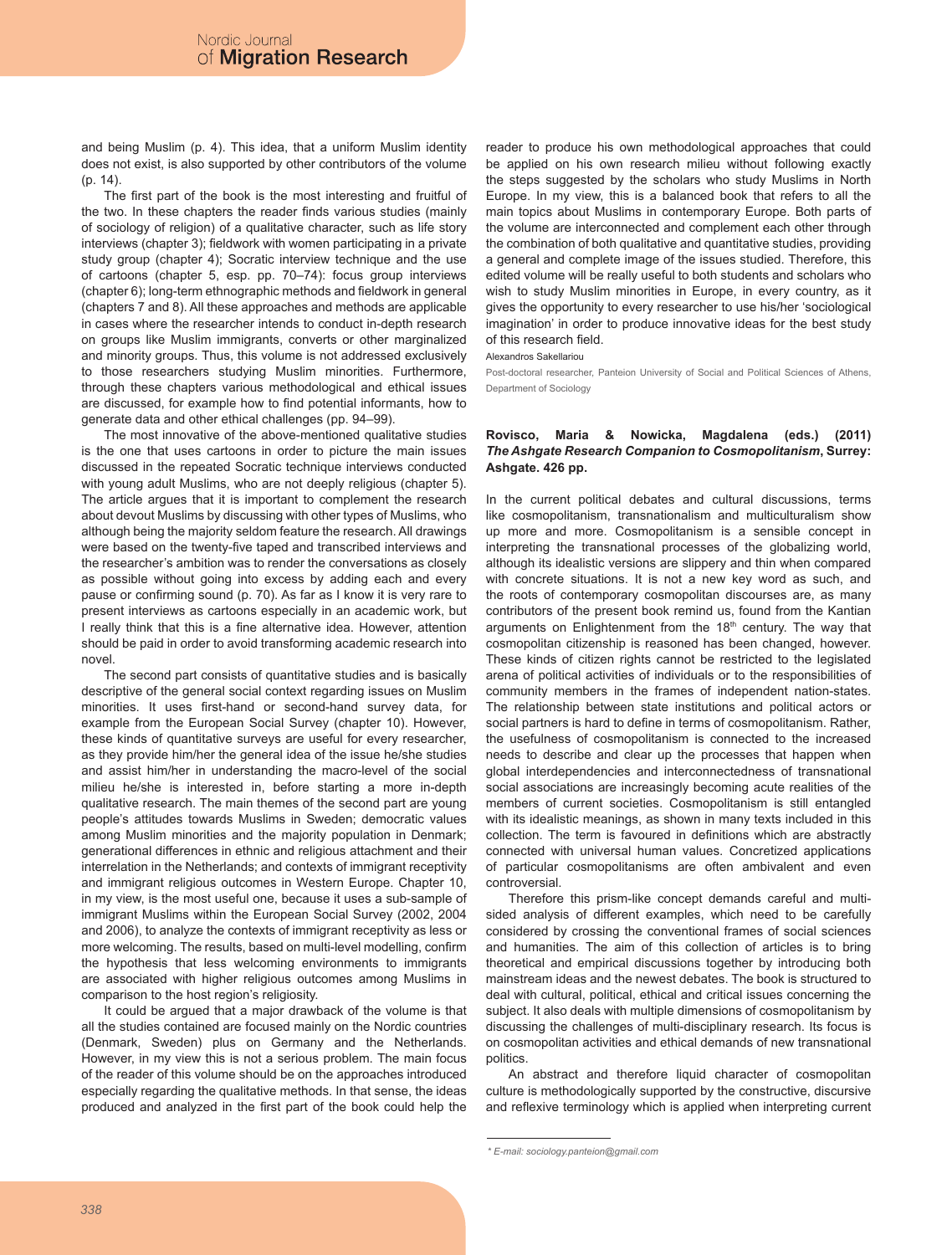and being Muslim (p. 4). This idea, that a uniform Muslim identity does not exist, is also supported by other contributors of the volume (p. 14).

The first part of the book is the most interesting and fruitful of the two. In these chapters the reader finds various studies (mainly of sociology of religion) of a qualitative character, such as life story interviews (chapter 3); fieldwork with women participating in a private study group (chapter 4); Socratic interview technique and the use of cartoons (chapter 5, esp. pp. 70–74): focus group interviews (chapter 6); long-term ethnographic methods and fieldwork in general (chapters 7 and 8). All these approaches and methods are applicable in cases where the researcher intends to conduct in-depth research on groups like Muslim immigrants, converts or other marginalized and minority groups. Thus, this volume is not addressed exclusively to those researchers studying Muslim minorities. Furthermore, through these chapters various methodological and ethical issues are discussed, for example how to find potential informants, how to generate data and other ethical challenges (pp. 94–99).

The most innovative of the above-mentioned qualitative studies is the one that uses cartoons in order to picture the main issues discussed in the repeated Socratic technique interviews conducted with young adult Muslims, who are not deeply religious (chapter 5). The article argues that it is important to complement the research about devout Muslims by discussing with other types of Muslims, who although being the majority seldom feature the research. All drawings were based on the twenty-five taped and transcribed interviews and the researcher's ambition was to render the conversations as closely as possible without going into excess by adding each and every pause or confirming sound (p. 70). As far as I know it is very rare to present interviews as cartoons especially in an academic work, but I really think that this is a fine alternative idea. However, attention should be paid in order to avoid transforming academic research into novel.

The second part consists of quantitative studies and is basically descriptive of the general social context regarding issues on Muslim minorities. It uses first-hand or second-hand survey data, for example from the European Social Survey (chapter 10). However, these kinds of quantitative surveys are useful for every researcher, as they provide him/her the general idea of the issue he/she studies and assist him/her in understanding the macro-level of the social milieu he/she is interested in, before starting a more in-depth qualitative research. The main themes of the second part are young people's attitudes towards Muslims in Sweden; democratic values among Muslim minorities and the majority population in Denmark; generational differences in ethnic and religious attachment and their interrelation in the Netherlands; and contexts of immigrant receptivity and immigrant religious outcomes in Western Europe. Chapter 10, in my view, is the most useful one, because it uses a sub-sample of immigrant Muslims within the European Social Survey (2002, 2004 and 2006), to analyze the contexts of immigrant receptivity as less or more welcoming. The results, based on multi-level modelling, confirm the hypothesis that less welcoming environments to immigrants are associated with higher religious outcomes among Muslims in comparison to the host region's religiosity.

It could be argued that a major drawback of the volume is that all the studies contained are focused mainly on the Nordic countries (Denmark, Sweden) plus on Germany and the Netherlands. However, in my view this is not a serious problem. The main focus of the reader of this volume should be on the approaches introduced especially regarding the qualitative methods. In that sense, the ideas produced and analyzed in the first part of the book could help the reader to produce his own methodological approaches that could be applied on his own research milieu without following exactly the steps suggested by the scholars who study Muslims in North Europe. In my view, this is a balanced book that refers to all the main topics about Muslims in contemporary Europe. Both parts of the volume are interconnected and complement each other through the combination of both qualitative and quantitative studies, providing a general and complete image of the issues studied. Therefore, this edited volume will be really useful to both students and scholars who wish to study Muslim minorities in Europe, in every country, as it gives the opportunity to every researcher to use his/her 'sociological imagination' in order to produce innovative ideas for the best study of this research field.

Alexandros Sakellariou

Post-doctoral researcher, Panteion University of Social and Political Sciences of Athens Department of Sociology

# **Rovisco, Maria & Nowicka, Magdalena (eds.) (2011)**  *The Ashgate Research Companion to Cosmopolitanism***, Surrey: Ashgate. 426 pp.**

In the current political debates and cultural discussions, terms like cosmopolitanism, transnationalism and multiculturalism show up more and more. Cosmopolitanism is a sensible concept in interpreting the transnational processes of the globalizing world, although its idealistic versions are slippery and thin when compared with concrete situations. It is not a new key word as such, and the roots of contemporary cosmopolitan discourses are, as many contributors of the present book remind us, found from the Kantian arguments on Enlightenment from the 18<sup>th</sup> century. The way that cosmopolitan citizenship is reasoned has been changed, however. These kinds of citizen rights cannot be restricted to the legislated arena of political activities of individuals or to the responsibilities of community members in the frames of independent nation-states. The relationship between state institutions and political actors or social partners is hard to define in terms of cosmopolitanism. Rather, the usefulness of cosmopolitanism is connected to the increased needs to describe and clear up the processes that happen when global interdependencies and interconnectedness of transnational social associations are increasingly becoming acute realities of the members of current societies. Cosmopolitanism is still entangled with its idealistic meanings, as shown in many texts included in this collection. The term is favoured in definitions which are abstractly connected with universal human values. Concretized applications of particular cosmopolitanisms are often ambivalent and even controversial.

Therefore this prism-like concept demands careful and multisided analysis of different examples, which need to be carefully considered by crossing the conventional frames of social sciences and humanities. The aim of this collection of articles is to bring theoretical and empirical discussions together by introducing both mainstream ideas and the newest debates. The book is structured to deal with cultural, political, ethical and critical issues concerning the subject. It also deals with multiple dimensions of cosmopolitanism by discussing the challenges of multi-disciplinary research. Its focus is on cosmopolitan activities and ethical demands of new transnational politics.

An abstract and therefore liquid character of cosmopolitan culture is methodologically supported by the constructive, discursive and reflexive terminology which is applied when interpreting current

*<sup>\*</sup> E-mail: sociology.panteion@gmail.com*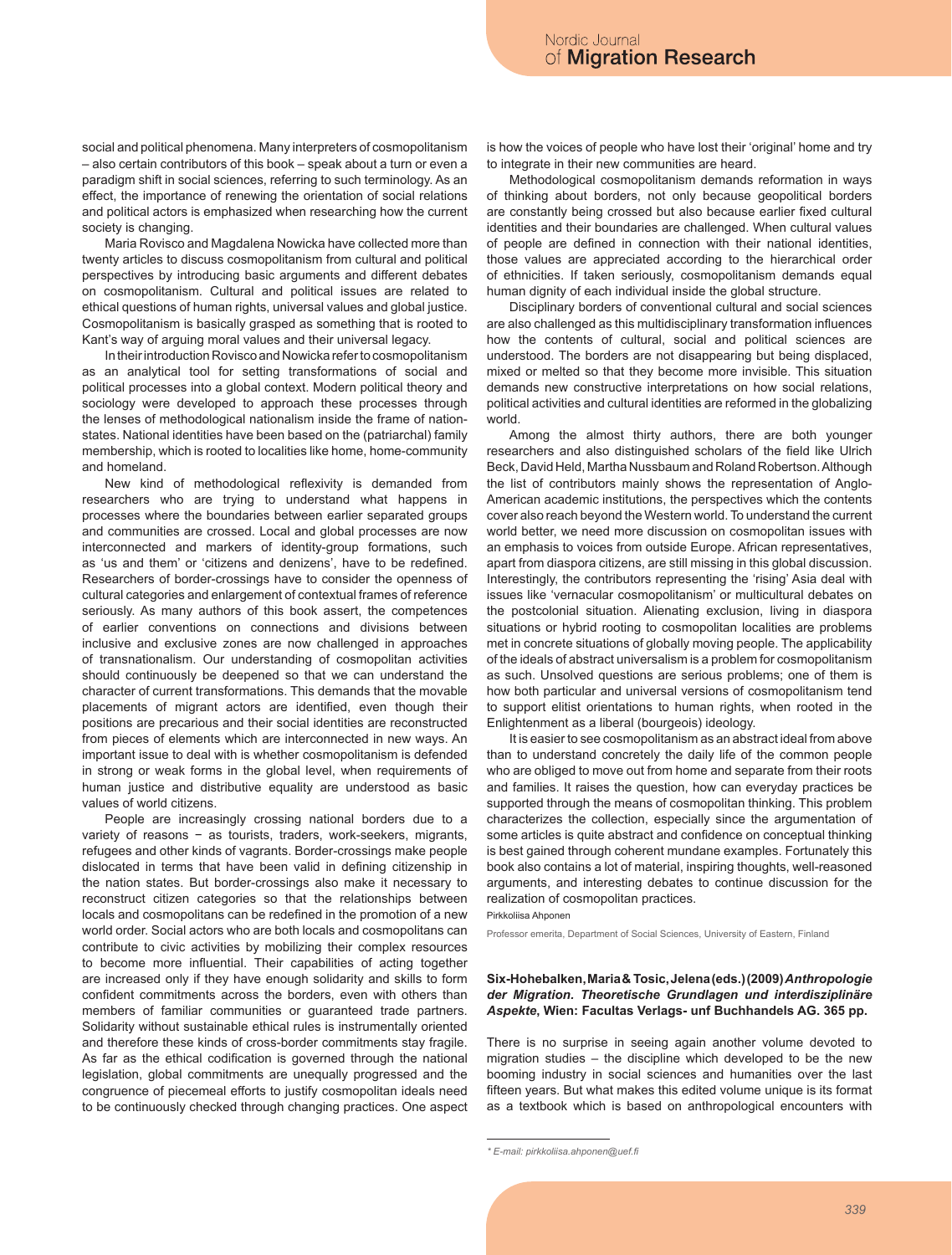social and political phenomena. Many interpreters of cosmopolitanism – also certain contributors of this book – speak about a turn or even a paradigm shift in social sciences, referring to such terminology. As an effect, the importance of renewing the orientation of social relations and political actors is emphasized when researching how the current society is changing.

Maria Rovisco and Magdalena Nowicka have collected more than twenty articles to discuss cosmopolitanism from cultural and political perspectives by introducing basic arguments and different debates on cosmopolitanism. Cultural and political issues are related to ethical questions of human rights, universal values and global justice. Cosmopolitanism is basically grasped as something that is rooted to Kant's way of arguing moral values and their universal legacy.

In their introduction Rovisco and Nowicka refer to cosmopolitanism as an analytical tool for setting transformations of social and political processes into a global context. Modern political theory and sociology were developed to approach these processes through the lenses of methodological nationalism inside the frame of nationstates. National identities have been based on the (patriarchal) family membership, which is rooted to localities like home, home-community and homeland.

New kind of methodological reflexivity is demanded from researchers who are trying to understand what happens in processes where the boundaries between earlier separated groups and communities are crossed. Local and global processes are now interconnected and markers of identity-group formations, such as 'us and them' or 'citizens and denizens', have to be redefined. Researchers of border-crossings have to consider the openness of cultural categories and enlargement of contextual frames of reference seriously. As many authors of this book assert, the competences of earlier conventions on connections and divisions between inclusive and exclusive zones are now challenged in approaches of transnationalism. Our understanding of cosmopolitan activities should continuously be deepened so that we can understand the character of current transformations. This demands that the movable placements of migrant actors are identified, even though their positions are precarious and their social identities are reconstructed from pieces of elements which are interconnected in new ways. An important issue to deal with is whether cosmopolitanism is defended in strong or weak forms in the global level, when requirements of human justice and distributive equality are understood as basic values of world citizens.

People are increasingly crossing national borders due to a variety of reasons − as tourists, traders, work-seekers, migrants, refugees and other kinds of vagrants. Border-crossings make people dislocated in terms that have been valid in defining citizenship in the nation states. But border-crossings also make it necessary to reconstruct citizen categories so that the relationships between locals and cosmopolitans can be redefined in the promotion of a new world order. Social actors who are both locals and cosmopolitans can contribute to civic activities by mobilizing their complex resources to become more influential. Their capabilities of acting together are increased only if they have enough solidarity and skills to form confident commitments across the borders, even with others than members of familiar communities or guaranteed trade partners. Solidarity without sustainable ethical rules is instrumentally oriented and therefore these kinds of cross-border commitments stay fragile. As far as the ethical codification is governed through the national legislation, global commitments are unequally progressed and the congruence of piecemeal efforts to justify cosmopolitan ideals need to be continuously checked through changing practices. One aspect is how the voices of people who have lost their 'original' home and try to integrate in their new communities are heard.

Methodological cosmopolitanism demands reformation in ways of thinking about borders, not only because geopolitical borders are constantly being crossed but also because earlier fixed cultural identities and their boundaries are challenged. When cultural values of people are defined in connection with their national identities, those values are appreciated according to the hierarchical order of ethnicities. If taken seriously, cosmopolitanism demands equal human dignity of each individual inside the global structure.

Disciplinary borders of conventional cultural and social sciences are also challenged as this multidisciplinary transformation influences how the contents of cultural, social and political sciences are understood. The borders are not disappearing but being displaced, mixed or melted so that they become more invisible. This situation demands new constructive interpretations on how social relations, political activities and cultural identities are reformed in the globalizing world.

Among the almost thirty authors, there are both younger researchers and also distinguished scholars of the field like Ulrich Beck, David Held, Martha Nussbaum and Roland Robertson. Although the list of contributors mainly shows the representation of Anglo-American academic institutions, the perspectives which the contents cover also reach beyond the Western world. To understand the current world better, we need more discussion on cosmopolitan issues with an emphasis to voices from outside Europe. African representatives, apart from diaspora citizens, are still missing in this global discussion. Interestingly, the contributors representing the 'rising' Asia deal with issues like 'vernacular cosmopolitanism' or multicultural debates on the postcolonial situation. Alienating exclusion, living in diaspora situations or hybrid rooting to cosmopolitan localities are problems met in concrete situations of globally moving people. The applicability of the ideals of abstract universalism is a problem for cosmopolitanism as such. Unsolved questions are serious problems; one of them is how both particular and universal versions of cosmopolitanism tend to support elitist orientations to human rights, when rooted in the Enlightenment as a liberal (bourgeois) ideology.

It is easier to see cosmopolitanism as an abstract ideal from above than to understand concretely the daily life of the common people who are obliged to move out from home and separate from their roots and families. It raises the question, how can everyday practices be supported through the means of cosmopolitan thinking. This problem characterizes the collection, especially since the argumentation of some articles is quite abstract and confidence on conceptual thinking is best gained through coherent mundane examples. Fortunately this book also contains a lot of material, inspiring thoughts, well-reasoned arguments, and interesting debates to continue discussion for the realization of cosmopolitan practices.

Pirkkoliisa Ahponen

Professor emerita, Department of Social Sciences, University of Eastern, Finland

## **Six-Hohebalken, Maria & Tosic, Jelena (eds.) (2009)** *Anthropologie der Migration. Theoretische Grundlagen und interdisziplinäre Aspekte***, Wien: Facultas Verlags- unf Buchhandels AG. 365 pp.**

There is no surprise in seeing again another volume devoted to migration studies – the discipline which developed to be the new booming industry in social sciences and humanities over the last fifteen years. But what makes this edited volume unique is its format as a textbook which is based on anthropological encounters with

*<sup>\*</sup> E-mail: pirkkoliisa.ahponen@uef.fi*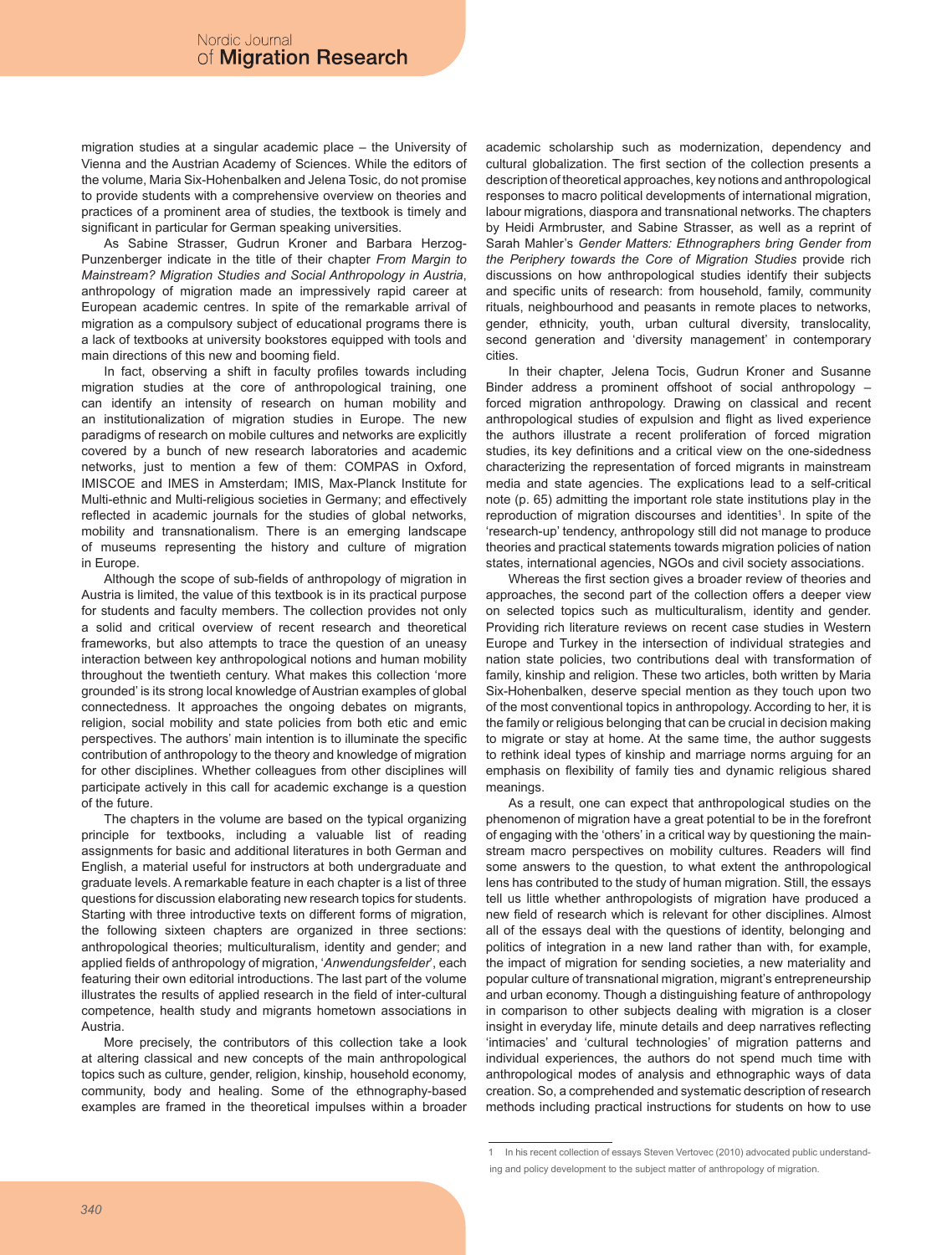migration studies at a singular academic place – the University of Vienna and the Austrian Academy of Sciences. While the editors of the volume, Maria Six-Hohenbalken and Jelena Tosic, do not promise to provide students with a comprehensive overview on theories and practices of a prominent area of studies, the textbook is timely and significant in particular for German speaking universities.

As Sabine Strasser, Gudrun Kroner and Barbara Herzog-Punzenberger indicate in the title of their chapter *From Margin to Mainstream? Migration Studies and Social Anthropology in Austria*, anthropology of migration made an impressively rapid career at European academic centres. In spite of the remarkable arrival of migration as a compulsory subject of educational programs there is a lack of textbooks at university bookstores equipped with tools and main directions of this new and booming field.

In fact, observing a shift in faculty profiles towards including migration studies at the core of anthropological training, one can identify an intensity of research on human mobility and an institutionalization of migration studies in Europe. The new paradigms of research on mobile cultures and networks are explicitly covered by a bunch of new research laboratories and academic networks, just to mention a few of them: COMPAS in Oxford, IMISCOE and IMES in Amsterdam; IMIS, Max-Planck Institute for Multi-ethnic and Multi-religious societies in Germany; and effectively reflected in academic journals for the studies of global networks, mobility and transnationalism. There is an emerging landscape of museums representing the history and culture of migration in Europe.

Although the scope of sub-fields of anthropology of migration in Austria is limited, the value of this textbook is in its practical purpose for students and faculty members. The collection provides not only a solid and critical overview of recent research and theoretical frameworks, but also attempts to trace the question of an uneasy interaction between key anthropological notions and human mobility throughout the twentieth century. What makes this collection 'more grounded' is its strong local knowledge of Austrian examples of global connectedness. It approaches the ongoing debates on migrants, religion, social mobility and state policies from both etic and emic perspectives. The authors' main intention is to illuminate the specific contribution of anthropology to the theory and knowledge of migration for other disciplines. Whether colleagues from other disciplines will participate actively in this call for academic exchange is a question of the future.

The chapters in the volume are based on the typical organizing principle for textbooks, including a valuable list of reading assignments for basic and additional literatures in both German and English, a material useful for instructors at both undergraduate and graduate levels. A remarkable feature in each chapter is a list of three questions for discussion elaborating new research topics for students. Starting with three introductive texts on different forms of migration, the following sixteen chapters are organized in three sections: anthropological theories; multiculturalism, identity and gender; and applied fields of anthropology of migration, '*Anwendungsfelder*', each featuring their own editorial introductions. The last part of the volume illustrates the results of applied research in the field of inter-cultural competence, health study and migrants hometown associations in Austria.

More precisely, the contributors of this collection take a look at altering classical and new concepts of the main anthropological topics such as culture, gender, religion, kinship, household economy, community, body and healing. Some of the ethnography-based examples are framed in the theoretical impulses within a broader academic scholarship such as modernization, dependency and cultural globalization. The first section of the collection presents a description of theoretical approaches, key notions and anthropological responses to macro political developments of international migration, labour migrations, diaspora and transnational networks. The chapters by Heidi Armbruster, and Sabine Strasser, as well as a reprint of Sarah Mahler's *Gender Matters: Ethnographers bring Gender from the Periphery towards the Core of Migration Studies* provide rich discussions on how anthropological studies identify their subjects and specific units of research: from household, family, community rituals, neighbourhood and peasants in remote places to networks, gender, ethnicity, youth, urban cultural diversity, translocality, second generation and 'diversity management' in contemporary cities.

In their chapter, Jelena Tocis, Gudrun Kroner and Susanne Binder address a prominent offshoot of social anthropology – forced migration anthropology. Drawing on classical and recent anthropological studies of expulsion and flight as lived experience the authors illustrate a recent proliferation of forced migration studies, its key definitions and a critical view on the one-sidedness characterizing the representation of forced migrants in mainstream media and state agencies. The explications lead to a self-critical note (p. 65) admitting the important role state institutions play in the reproduction of migration discourses and identities<sup>1</sup>. In spite of the 'research-up' tendency, anthropology still did not manage to produce theories and practical statements towards migration policies of nation states, international agencies, NGOs and civil society associations.

Whereas the first section gives a broader review of theories and approaches, the second part of the collection offers a deeper view on selected topics such as multiculturalism, identity and gender. Providing rich literature reviews on recent case studies in Western Europe and Turkey in the intersection of individual strategies and nation state policies, two contributions deal with transformation of family, kinship and religion. These two articles, both written by Maria Six-Hohenbalken, deserve special mention as they touch upon two of the most conventional topics in anthropology. According to her, it is the family or religious belonging that can be crucial in decision making to migrate or stay at home. At the same time, the author suggests to rethink ideal types of kinship and marriage norms arguing for an emphasis on flexibility of family ties and dynamic religious shared meanings.

As a result, one can expect that anthropological studies on the phenomenon of migration have a great potential to be in the forefront of engaging with the 'others' in a critical way by questioning the mainstream macro perspectives on mobility cultures. Readers will find some answers to the question, to what extent the anthropological lens has contributed to the study of human migration. Still, the essays tell us little whether anthropologists of migration have produced a new field of research which is relevant for other disciplines. Almost all of the essays deal with the questions of identity, belonging and politics of integration in a new land rather than with, for example, the impact of migration for sending societies, a new materiality and popular culture of transnational migration, migrant's entrepreneurship and urban economy. Though a distinguishing feature of anthropology in comparison to other subjects dealing with migration is a closer insight in everyday life, minute details and deep narratives reflecting 'intimacies' and 'cultural technologies' of migration patterns and individual experiences, the authors do not spend much time with anthropological modes of analysis and ethnographic ways of data creation. So, a comprehended and systematic description of research methods including practical instructions for students on how to use

In his recent collection of essays Steven Vertovec (2010) advocated public understanding and policy development to the subject matter of anthropology of migration.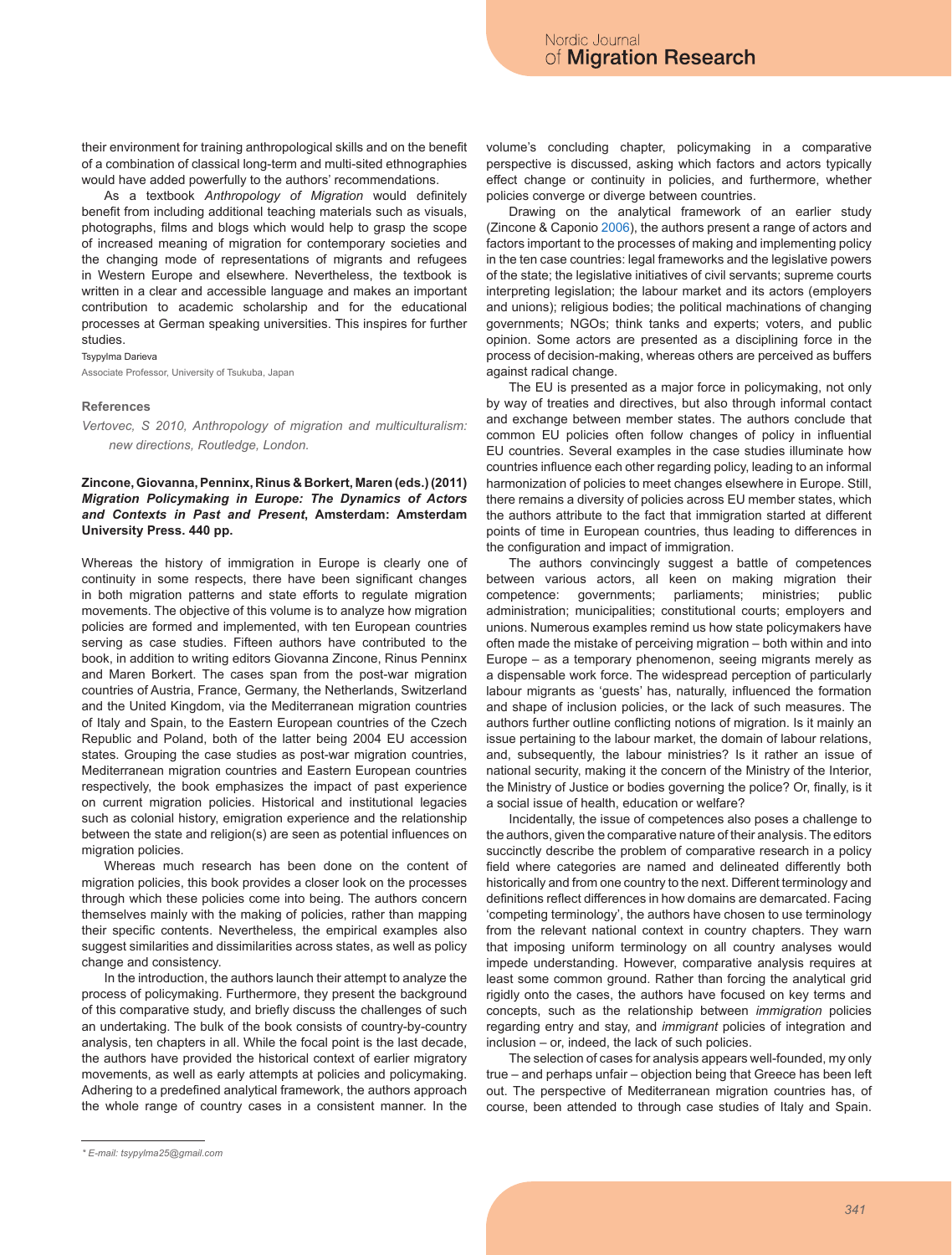their environment for training anthropological skills and on the benefit of a combination of classical long-term and multi-sited ethnographies would have added powerfully to the authors' recommendations.

As a textbook *Anthropology of Migration* would definitely benefit from including additional teaching materials such as visuals, photographs, films and blogs which would help to grasp the scope of increased meaning of migration for contemporary societies and the changing mode of representations of migrants and refugees in Western Europe and elsewhere. Nevertheless, the textbook is written in a clear and accessible language and makes an important contribution to academic scholarship and for the educational processes at German speaking universities. This inspires for further studies.

## Tsypylma Darieva

Associate Professor, University of Tsukuba, Japan

#### **References**

*Vertovec, S 2010, Anthropology of migration and multiculturalism: new directions, Routledge, London.*

## **Zincone, Giovanna, Penninx, Rinus & Borkert, Maren (eds.) (2011)**  *Migration Policymaking in Europe: The Dynamics of Actors and Contexts in Past and Present***, Amsterdam: Amsterdam University Press. 440 pp.**

Whereas the history of immigration in Europe is clearly one of continuity in some respects, there have been significant changes in both migration patterns and state efforts to regulate migration movements. The objective of this volume is to analyze how migration policies are formed and implemented, with ten European countries serving as case studies. Fifteen authors have contributed to the book, in addition to writing editors Giovanna Zincone, Rinus Penninx and Maren Borkert. The cases span from the post-war migration countries of Austria, France, Germany, the Netherlands, Switzerland and the United Kingdom, via the Mediterranean migration countries of Italy and Spain, to the Eastern European countries of the Czech Republic and Poland, both of the latter being 2004 EU accession states. Grouping the case studies as post-war migration countries, Mediterranean migration countries and Eastern European countries respectively, the book emphasizes the impact of past experience on current migration policies. Historical and institutional legacies such as colonial history, emigration experience and the relationship between the state and religion(s) are seen as potential influences on migration policies.

Whereas much research has been done on the content of migration policies, this book provides a closer look on the processes through which these policies come into being. The authors concern themselves mainly with the making of policies, rather than mapping their specific contents. Nevertheless, the empirical examples also suggest similarities and dissimilarities across states, as well as policy change and consistency.

In the introduction, the authors launch their attempt to analyze the process of policymaking. Furthermore, they present the background of this comparative study, and briefly discuss the challenges of such an undertaking. The bulk of the book consists of country-by-country analysis, ten chapters in all. While the focal point is the last decade, the authors have provided the historical context of earlier migratory movements, as well as early attempts at policies and policymaking. Adhering to a predefined analytical framework, the authors approach the whole range of country cases in a consistent manner. In the

Drawing on the analytical framework of an earlier study (Zincone & Caponio 2006), the authors present a range of actors and factors important to the processes of making and implementing policy in the ten case countries: legal frameworks and the legislative powers of the state; the legislative initiatives of civil servants; supreme courts interpreting legislation; the labour market and its actors (employers and unions); religious bodies; the political machinations of changing governments; NGOs; think tanks and experts; voters, and public opinion. Some actors are presented as a disciplining force in the process of decision-making, whereas others are perceived as buffers against radical change.

The EU is presented as a major force in policymaking, not only by way of treaties and directives, but also through informal contact and exchange between member states. The authors conclude that common EU policies often follow changes of policy in influential EU countries. Several examples in the case studies illuminate how countries influence each other regarding policy, leading to an informal harmonization of policies to meet changes elsewhere in Europe. Still, there remains a diversity of policies across EU member states, which the authors attribute to the fact that immigration started at different points of time in European countries, thus leading to differences in the configuration and impact of immigration.

The authors convincingly suggest a battle of competences between various actors, all keen on making migration their competence: governments; parliaments; ministries; public administration; municipalities; constitutional courts; employers and unions. Numerous examples remind us how state policymakers have often made the mistake of perceiving migration – both within and into Europe – as a temporary phenomenon, seeing migrants merely as a dispensable work force. The widespread perception of particularly labour migrants as 'guests' has, naturally, influenced the formation and shape of inclusion policies, or the lack of such measures. The authors further outline conflicting notions of migration. Is it mainly an issue pertaining to the labour market, the domain of labour relations, and, subsequently, the labour ministries? Is it rather an issue of national security, making it the concern of the Ministry of the Interior, the Ministry of Justice or bodies governing the police? Or, finally, is it a social issue of health, education or welfare?

Incidentally, the issue of competences also poses a challenge to the authors, given the comparative nature of their analysis. The editors succinctly describe the problem of comparative research in a policy field where categories are named and delineated differently both historically and from one country to the next. Different terminology and definitions reflect differences in how domains are demarcated. Facing 'competing terminology', the authors have chosen to use terminology from the relevant national context in country chapters. They warn that imposing uniform terminology on all country analyses would impede understanding. However, comparative analysis requires at least some common ground. Rather than forcing the analytical grid rigidly onto the cases, the authors have focused on key terms and concepts, such as the relationship between *immigration* policies regarding entry and stay, and *immigrant* policies of integration and inclusion – or, indeed, the lack of such policies.

The selection of cases for analysis appears well-founded, my only true – and perhaps unfair – objection being that Greece has been left out. The perspective of Mediterranean migration countries has, of course, been attended to through case studies of Italy and Spain.

volume's concluding chapter, policymaking in a comparative perspective is discussed, asking which factors and actors typically effect change or continuity in policies, and furthermore, whether policies converge or diverge between countries.

*<sup>\*</sup> E-mail: tsypylma25@gmail.com*